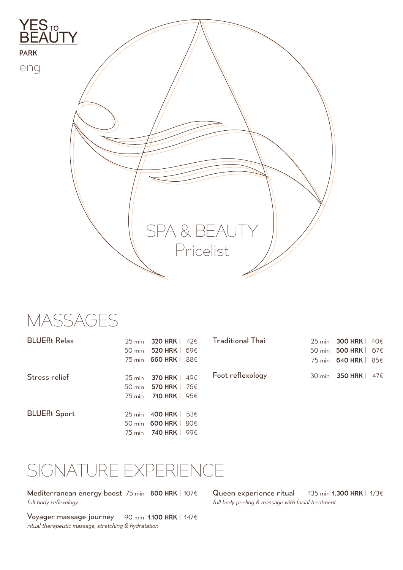

MASSAGES

| <b>BLUEf!t Relax</b> | 25 min 320 HRK   42€        |  |
|----------------------|-----------------------------|--|
|                      | 50 min 520 HRK   69€        |  |
|                      | 75 min 660 HRK   88€        |  |
|                      |                             |  |
| Stress relief        | 25 min 370 HRK   49€        |  |
|                      | 50 min 570 HRK   76€        |  |
|                      | 75 min <b>710 HRK</b>   95€ |  |
|                      |                             |  |
| <b>BLUEf!t Sport</b> | 25 min 400 HRK   53€        |  |
|                      | 50 min 600 HRK   80€        |  |
|                      | 75 min <b>740 HRK</b>   99€ |  |
|                      |                             |  |

| <b>Traditional Thai</b> | 25 min 300 HRK   40€ |
|-------------------------|----------------------|
|                         | 50 min 500 HRK   67€ |
|                         | 75 min 640 HRK   85€ |
| Foot reflexology        | 30 min 350 HRK   47€ |

## SIGNATURE EXPERIENCE

Mediterranean energy boost 75 min 800 HRK | 107€ *full body reflexology*

Voyager massage journey 90 min 1.100 HRK | 147€ *ritual therapeutic massage, stretching & hydratation*

Queen experience ritual *full body peeling & massage with facial treatment* 135 min 1.300 HRK | 173€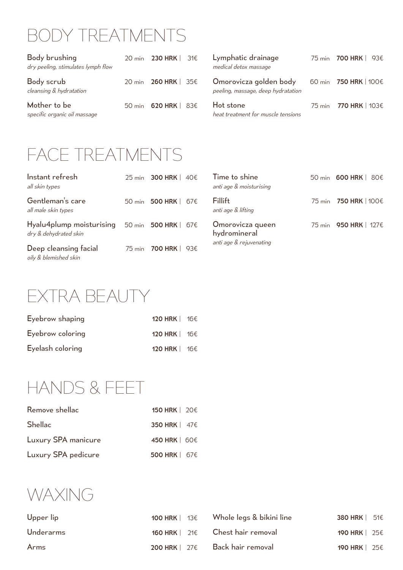## BODY TREATMENTS

| Body brushing<br>dry peeling, stimulates lymph flow | 20 min 230 HRK   31€ | Lymphatic drainage<br>medical detox massage                  | 75 min  700 HRK   93€        |
|-----------------------------------------------------|----------------------|--------------------------------------------------------------|------------------------------|
| Body scrub<br>cleansing & hydratation               | 20 min 260 HRK   35€ | Omorovicza golden body<br>peeling, massage, deep hydratation | 60 min  750 HRK   100€       |
| Mother to be<br>specific organic oil massage        | 50 min 620 HRK   83€ | Hot stone<br>heat treatment for muscle tensions              | 75 min <b>770 HRK</b>   103€ |

## FACE TREATMENTS

| Instant refresh<br>all skin types                                                  | 25 min 300 HRK   40€  |
|------------------------------------------------------------------------------------|-----------------------|
| Gentleman's care<br>all male skin types                                            | 50 min 500 HRK   67€  |
| Hyalu4plump moisturising $50$ min 500 HRK   67 $\epsilon$<br>dry & dehydrated skin |                       |
| Deep cleansing facial<br>oily & blemished skin                                     | 75 min  700 HRK   93€ |

| Time to shine<br>anti age & moisturising                    | 50 min 600 HRK   80€   |
|-------------------------------------------------------------|------------------------|
| Fillift<br>anti age & lifting                               | 75 min  750 HRK   100€ |
| Omorovicza queen<br>hydromineral<br>anti age & rejuvenating | 75 min 950 HRK   127€  |

EXTRA BEAUTY

| Eyebrow shaping  | 120 HRK   16€                 |  |
|------------------|-------------------------------|--|
| Eyebrow coloring | 120 HRK $\vert$ 16 $\epsilon$ |  |
| Eyelash coloring | 120 HRK $\vert$ 16 $\epsilon$ |  |

HANDS & FEET

| Remove shellac      | 150 HRK   20€ |
|---------------------|---------------|
| <b>Shellac</b>      | 350 HRK   47€ |
| Luxury SPA manicure | 450 HRK   60€ |
| Luxury SPA pedicure | 500 HRK   67€ |

WAXING

| Upper lip | 100 HRK $\mid$ 13 $\epsilon$ Whole legs & bikini line | 380 HRK $\vert$ 51 $\epsilon$ |
|-----------|-------------------------------------------------------|-------------------------------|
| Underarms | 160 HRK $\vert$ 21 $\epsilon$ Chest hair removal      | 190 HRK   25€                 |
| Arms      | 200 HRK $\vert$ 27 $\epsilon$ Back hair removal       | 190 HRK   25€                 |